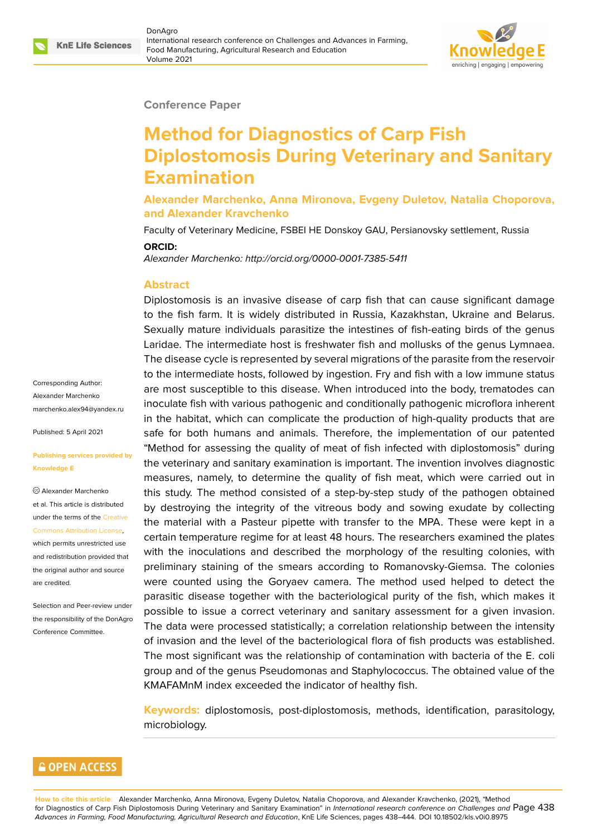

#### **Conference Paper**

# **Method for Diagnostics of Carp Fish Diplostomosis During Veterinary and Sanitary Examination**

**Alexander Marchenko, Anna Mironova, Evgeny Duletov, Natalia Choporova, and Alexander Kravchenko**

Faculty of Veterinary Medicine, FSBEI HE Donskoy GAU, Persianovsky settlement, Russia

#### **ORCID:**

*Alexander Marchenko: http://orcid.org/0000-0001-7385-5411*

#### **Abstract**

Corresponding Author: Alexander Marchenko marchenko.alex94@yandex.ru

Published: 5 April 2021

#### **[Publishing services provided](mailto:marchenko.alex94@yandex.ru) by Knowledge E**

Alexander Marchenko et al. This article is distributed under the terms of the Creative Commons Attribution License,

which permits unrestricted use and redistribution provided that the original author and [source](https://creativecommons.org/licenses/by/4.0/) [are credited.](https://creativecommons.org/licenses/by/4.0/)

Selection and Peer-review under the responsibility of the DonAgro Conference Committee.

Diplostomosis is an invasive disease of carp fish that can cause significant damage to the fish farm. It is widely distributed in Russia, Kazakhstan, Ukraine and Belarus. Sexually mature individuals parasitize the intestines of fish-eating birds of the genus Laridae. The intermediate host is freshwater fish and mollusks of the genus Lymnaea. The disease cycle is represented by several migrations of the parasite from the reservoir to the intermediate hosts, followed by ingestion. Fry and fish with a low immune status are most susceptible to this disease. When introduced into the body, trematodes can inoculate fish with various pathogenic and conditionally pathogenic microflora inherent in the habitat, which can complicate the production of high-quality products that are safe for both humans and animals. Therefore, the implementation of our patented "Method for assessing the quality of meat of fish infected with diplostomosis" during the veterinary and sanitary examination is important. The invention involves diagnostic measures, namely, to determine the quality of fish meat, which were carried out in this study. The method consisted of a step-by-step study of the pathogen obtained by destroying the integrity of the vitreous body and sowing exudate by collecting the material with a Pasteur pipette with transfer to the MPA. These were kept in a certain temperature regime for at least 48 hours. The researchers examined the plates with the inoculations and described the morphology of the resulting colonies, with preliminary staining of the smears according to Romanovsky-Giemsa. The colonies were counted using the Goryaev camera. The method used helped to detect the parasitic disease together with the bacteriological purity of the fish, which makes it possible to issue a correct veterinary and sanitary assessment for a given invasion. The data were processed statistically; a correlation relationship between the intensity of invasion and the level of the bacteriological flora of fish products was established. The most significant was the relationship of contamination with bacteria of the E. coli group and of the genus Pseudomonas and Staphylococcus. The obtained value of the KMAFAMnM index exceeded the indicator of healthy fish.

**Keywords:** diplostomosis, post-diplostomosis, methods, identification, parasitology, microbiology.

### **GOPEN ACCESS**

**How to cite this article**: Alexander Marchenko, Anna Mironova, Evgeny Duletov, Natalia Choporova, and Alexander Kravchenko, (2021), "Method for Diagnostics of Carp Fish Diplostomosis During Veterinary and Sanitary Examination" in *International research conference on Challenges and* Page 438 *Advances in Farming, Food Manufacturing, Agricultural Research and Education*, KnE Life Sciences, pages 438–444. DOI 10.18502/kls.v0i0.8975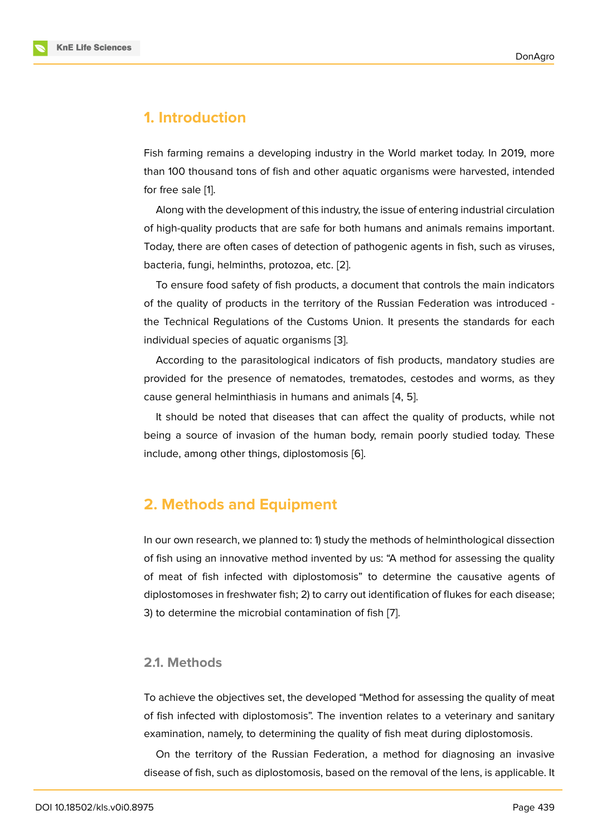### **1. Introduction**

Fish farming remains a developing industry in the World market today. In 2019, more than 100 thousand tons of fish and other aquatic organisms were harvested, intended for free sale [1].

Along with the development of this industry, the issue of entering industrial circulation of high-quality products that are safe for both humans and animals remains important. Today, there [a](#page-5-0)re often cases of detection of pathogenic agents in fish, such as viruses, bacteria, fungi, helminths, protozoa, etc. [2].

To ensure food safety of fish products, a document that controls the main indicators of the quality of products in the territory of the Russian Federation was introduced the Technical Regulations of the Custo[ms](#page-6-0) Union. It presents the standards for each individual species of aquatic organisms [3].

According to the parasitological indicators of fish products, mandatory studies are provided for the presence of nematodes, trematodes, cestodes and worms, as they cause general helminthiasis in humans [an](#page-6-1)d animals [4, 5].

It should be noted that diseases that can affect the quality of products, while not being a source of invasion of the human body, re[ma](#page-6-2)[in](#page-6-3) poorly studied today. These include, among other things, diplostomosis [6].

## **2. Methods and Equipment**

In our own research, we planned to: 1) study the methods of helminthological dissection of fish using an innovative method invented by us: "A method for assessing the quality of meat of fish infected with diplostomosis" to determine the causative agents of diplostomoses in freshwater fish; 2) to carry out identification of flukes for each disease; 3) to determine the microbial contamination of fish [7].

#### **2.1. Methods**

To achieve the objectives set, the developed "Method for assessing the quality of meat of fish infected with diplostomosis". The invention relates to a veterinary and sanitary examination, namely, to determining the quality of fish meat during diplostomosis.

On the territory of the Russian Federation, a method for diagnosing an invasive disease of fish, such as diplostomosis, based on the removal of the lens, is applicable. It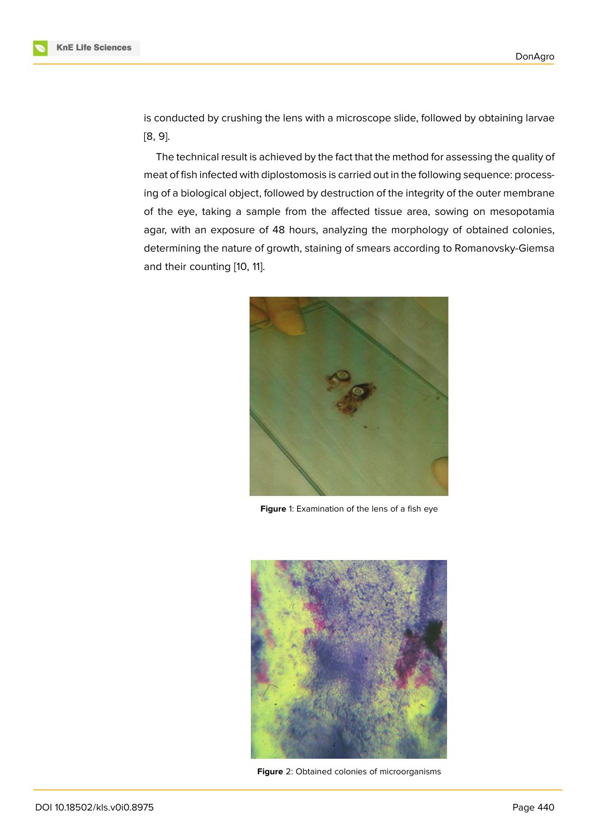is conducted by crushing the lens with a microscope slide, followed by obtaining larvae [8, 9].

The technical result is achieved by the fact that the method for assessing the quality of meat of fish infected with diplostomosis is carried out in the following sequence: processi[ng](#page-6-4) [o](#page-6-5)f a biological object, followed by destruction of the integrity of the outer membrane of the eye, taking a sample from the affected tissue area, sowing on mesopotamia agar, with an exposure of 48 hours, analyzing the morphology of obtained colonies, determining the nature of growth, staining of smears according to Romanovsky-Giemsa and their counting [10, 11].



**Figure** 1: Examination of the lens of a fish eye

<span id="page-2-0"></span>

**Figure** 2: Obtained colonies of microorganisms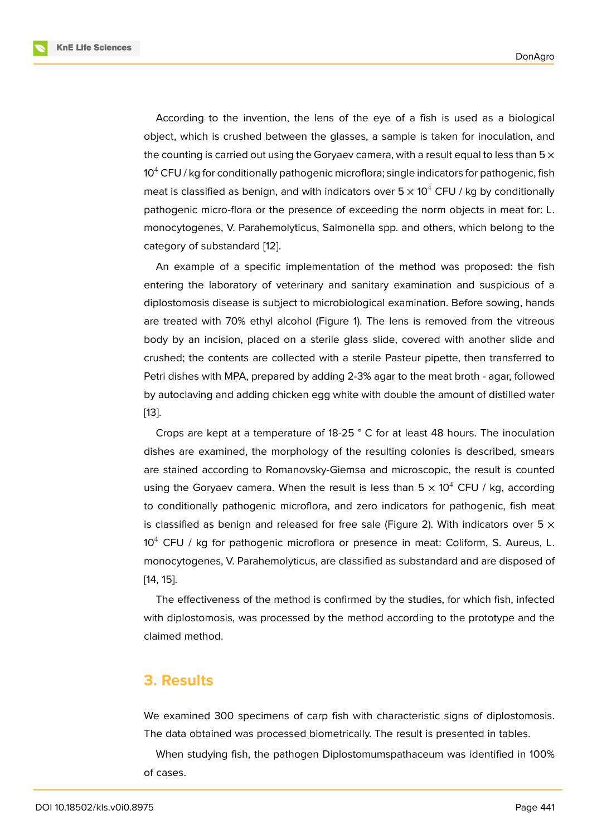According to the invention, the lens of the eye of a fish is used as a biological object, which is crushed between the glasses, a sample is taken for inoculation, and the counting is carried out using the Goryaev camera, with a result equal to less than  $5 \times$ 10 $4$  CFU / kg for conditionally pathogenic microflora; single indicators for pathogenic, fish meat is classified as benign, and with indicators over  $5 \times 10^4$  CFU / kg by conditionally pathogenic micro-flora or the presence of exceeding the norm objects in meat for: L. monocytogenes, V. Parahemolyticus, Salmonella spp. and others, which belong to the category of substandard [12].

An example of a specific implementation of the method was proposed: the fish entering the laboratory of veterinary and sanitary examination and suspicious of a diplostomosis disease is [sub](#page-6-6)ject to microbiological examination. Before sowing, hands are treated with 70% ethyl alcohol (Figure 1). The lens is removed from the vitreous body by an incision, placed on a sterile glass slide, covered with another slide and crushed; the contents are collected with a sterile Pasteur pipette, then transferred to Petri dishes with MPA, prepared by adding [2-](#page-2-0)3% agar to the meat broth - agar, followed by autoclaving and adding chicken egg white with double the amount of distilled water [13].

Crops are kept at a temperature of 18-25 ° C for at least 48 hours. The inoculation dishes are examined, the morphology of the resulting colonies is described, smears [are](#page-6-7) stained according to Romanovsky-Giemsa and microscopic, the result is counted using the Goryaev camera. When the result is less than  $5 \times 10^4$  CFU / kg, according to conditionally pathogenic microflora, and zero indicators for pathogenic, fish meat is classified as benign and released for free sale (Figure 2). With indicators over 5  $\times$ 10<sup>4</sup> CFU / kg for pathogenic microflora or presence in meat: Coliform, S. Aureus, L. monocytogenes, V. Parahemolyticus, are classified as substandard and are disposed of [14, 15].

The effectiveness of the method is confirmed by the studies, for which fish, infected with diplostomosis, was processed by the method according to the prototype and the [cla](#page-6-8)i[me](#page-6-9)d method.

### **3. Results**

We examined 300 specimens of carp fish with characteristic signs of diplostomosis. The data obtained was processed biometrically. The result is presented in tables.

When studying fish, the pathogen Diplostomumspathaceum was identified in 100% of cases.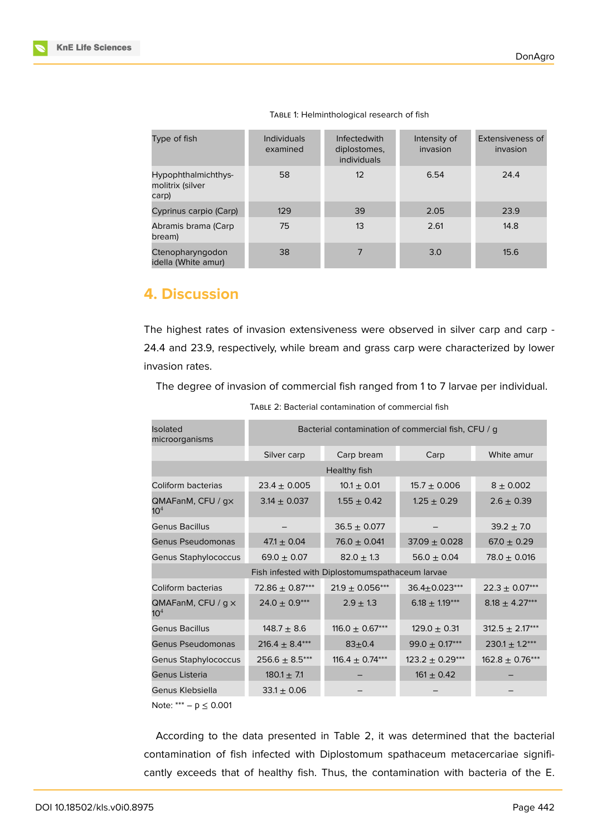| Type of fish                                     | <b>Individuals</b><br>examined | <b>Infectedwith</b><br>diplostomes,<br><i>individuals</i> | Intensity of<br>invasion | Extensiveness of<br>invasion |
|--------------------------------------------------|--------------------------------|-----------------------------------------------------------|--------------------------|------------------------------|
| Hypophthalmichthys-<br>molitrix (silver<br>carp) | 58                             | 12                                                        | 6.54                     | 24.4                         |
| Cyprinus carpio (Carp)                           | 129                            | 39                                                        | 2.05                     | 23.9                         |
| Abramis brama (Carp<br>bream)                    | 75                             | 13                                                        | 2.61                     | 14.8                         |
| Ctenopharyngodon<br>idella (White amur)          | 38                             | 7                                                         | 3.0                      | 15.6                         |

TABLE 1: Helminthological research of fish

# **4. Discussion**

The highest rates of invasion extensiveness were observed in silver carp and carp - 24.4 and 23.9, respectively, while bream and grass carp were characterized by lower invasion rates.

The degree of invasion of commercial fish ranged from 1 to 7 larvae per individual.

| <b>Isolated</b><br>microorganisms               | Bacterial contamination of commercial fish, CFU / g |                     |                     |                     |  |  |  |
|-------------------------------------------------|-----------------------------------------------------|---------------------|---------------------|---------------------|--|--|--|
|                                                 | Silver carp                                         | Carp bream          | Carp                | White amur          |  |  |  |
| Healthy fish                                    |                                                     |                     |                     |                     |  |  |  |
| Coliform bacterias                              | $23.4 \pm 0.005$                                    | $10.1 \pm 0.01$     | $15.7 \pm 0.006$    | $8 + 0.002$         |  |  |  |
| QMAFanM, CFU / gx<br>10 <sup>4</sup>            | $3.14 \pm 0.037$                                    | $1.55 \pm 0.42$     | $1.25 \pm 0.29$     | $2.6 \pm 0.39$      |  |  |  |
| <b>Genus Bacillus</b>                           |                                                     | $36.5 \pm 0.077$    |                     | $39.2 \pm 7.0$      |  |  |  |
| Genus Pseudomonas                               | $47.1 \pm 0.04$                                     | $76.0 \pm 0.041$    | $37.09 \pm 0.028$   | $67.0 \pm 0.29$     |  |  |  |
| Genus Staphylococcus                            | $69.0 \pm 0.07$                                     | $82.0 \pm 1.3$      | $56.0 \pm 0.04$     | $78.0 \pm 0.016$    |  |  |  |
| Fish infested with Diplostomumspathaceum larvae |                                                     |                     |                     |                     |  |  |  |
| Coliform bacterias                              | $72.86 \pm 0.87***$                                 | $21.9 \pm 0.056***$ | $36.4 \pm 0.023***$ | $22.3 \pm 0.07***$  |  |  |  |
| QMAFanM, CFU / $g \times$<br>10 <sup>4</sup>    | $24.0 \pm 0.9***$                                   | $2.9 \pm 1.3$       | $6.18 \pm 1.19***$  | $8.18 \pm 4.27***$  |  |  |  |
| <b>Genus Bacillus</b>                           | $148.7 \pm 8.6$                                     | 116.0 $\pm$ 0.67*** | $129.0 \pm 0.31$    | $312.5 \pm 2.17***$ |  |  |  |
| Genus Pseudomonas                               | $216.4 \pm 8.4***$                                  | $83 + 0.4$          | $99.0 \pm 0.17***$  | $230.1 \pm 1.2***$  |  |  |  |
| Genus Staphylococcus                            | $256.6 \pm 8.5***$                                  | 116.4 $\pm$ 0.74*** | $123.2 \pm 0.29***$ | $162.8 \pm 0.76***$ |  |  |  |
| Genus Listeria                                  | $180.1 \pm 7.1$                                     |                     | $161 \pm 0.42$      |                     |  |  |  |
| Genus Klebsiella                                | $33.1 \pm 0.06$                                     |                     |                     |                     |  |  |  |
| Note: *** $-p \le 0.001$                        |                                                     |                     |                     |                     |  |  |  |

TABLE 2: Bacterial contamination of commercial fish

According to the data presented in Table 2, it was determined that the bacterial contamination of fish infected with Diplostomum spathaceum metacercariae significantly exceeds that of healthy fish. Thus, the contamination with bacteria of the E.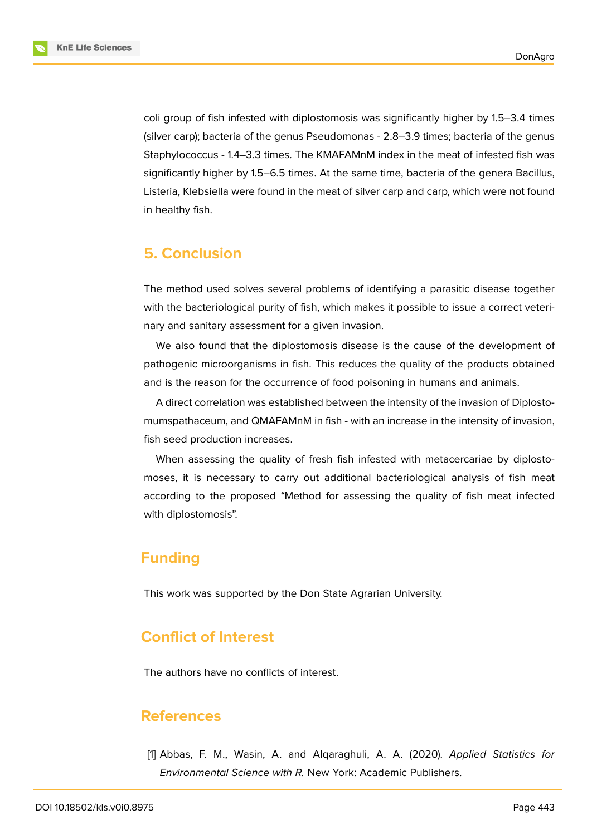

coli group of fish infested with diplostomosis was significantly higher by 1.5–3.4 times (silver carp); bacteria of the genus Pseudomonas - 2.8–3.9 times; bacteria of the genus Staphylococcus - 1.4–3.3 times. The KMAFAMnM index in the meat of infested fish was significantly higher by 1.5–6.5 times. At the same time, bacteria of the genera Bacillus, Listeria, Klebsiella were found in the meat of silver carp and carp, which were not found in healthy fish.

# **5. Conclusion**

The method used solves several problems of identifying a parasitic disease together with the bacteriological purity of fish, which makes it possible to issue a correct veterinary and sanitary assessment for a given invasion.

We also found that the diplostomosis disease is the cause of the development of pathogenic microorganisms in fish. This reduces the quality of the products obtained and is the reason for the occurrence of food poisoning in humans and animals.

A direct correlation was established between the intensity of the invasion of Diplostomumspathaceum, and QMAFAMnM in fish - with an increase in the intensity of invasion, fish seed production increases.

When assessing the quality of fresh fish infested with metacercariae by diplostomoses, it is necessary to carry out additional bacteriological analysis of fish meat according to the proposed "Method for assessing the quality of fish meat infected with diplostomosis".

# **Funding**

This work was supported by the Don State Agrarian University.

# **Conflict of Interest**

The authors have no conflicts of interest.

### **References**

<span id="page-5-0"></span>[1] Abbas, F. M., Wasin, A. and Alqaraghuli, A. A. (2020). *Applied Statistics for Environmental Science with R.* New York: Academic Publishers.